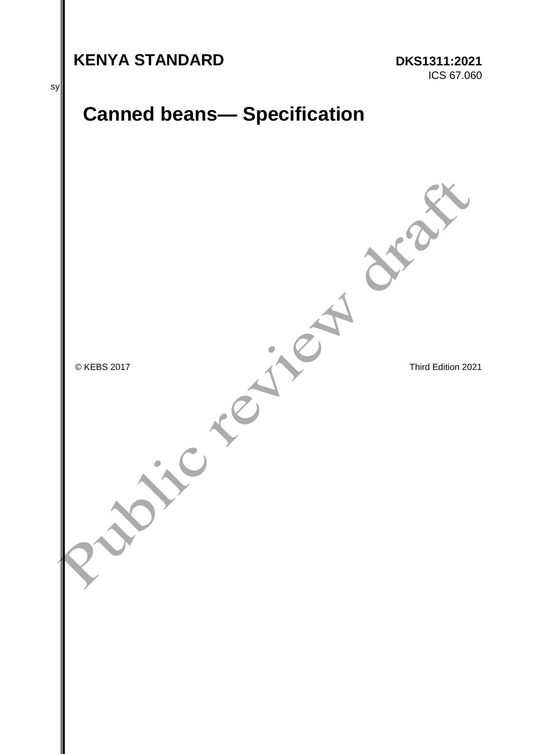# **KENYA STANDARD DKS1311:2021**

ICS 67.060



© KEBS 2017<br>
Third Edition 2021<br>
Third Edition 2021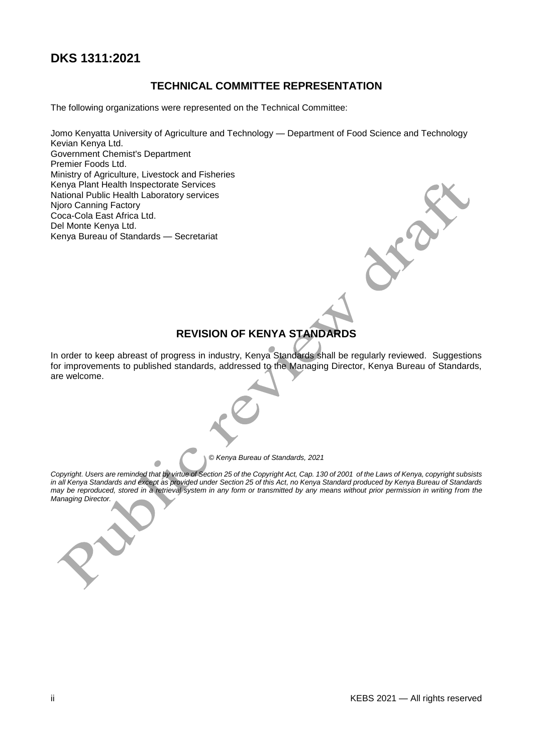### **DKS 1311:2021**

#### **TECHNICAL COMMITTEE REPRESENTATION**

The following organizations were represented on the Technical Committee:

Jomo Kenyatta University of Agriculture and Technology — Department of Food Science and Technology Kevian Kenya Ltd. Government Chemist's Department Premier Foods Ltd. Ministry of Agriculture, Livestock and Fisheries Kenya Plant Health Inspectorate Services National Public Health Laboratory services Njoro Canning Factory Coca-Cola East Africa Ltd. Del Monte Kenya Ltd. Kenya Bureau of Standards — Secretariat

#### **REVISION OF KENYA STANDARDS**

In order to keep abreast of progress in industry, Kenya Standards shall be regularly reviewed. Suggestions for improvements to published standards, addressed to the Managing Director, Kenya Bureau of Standards, are welcome.

*© Kenya Bureau of Standards, 2021*

*Copyright. Users are reminded that by virtue of Section 25 of the Copyright Act, Cap. 130 of 2001 of the Laws of Kenya, copyright subsists in all Kenya Standards and except as provided under Section 25 of this Act, no Kenya Standard produced by Kenya Bureau of Standards may be reproduced, stored in a retrieval system in any form or transmitted by any means without prior permission in writing from the Managing Director.*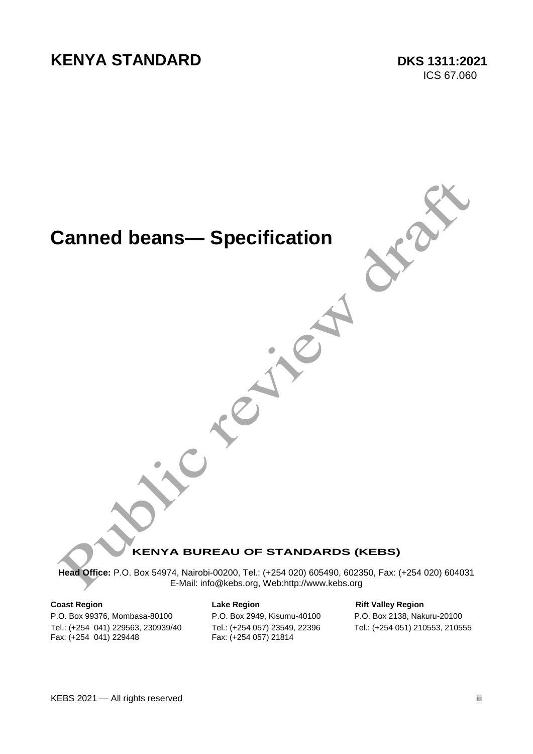# **KENYA STANDARD DKS 1311:2021**

ICS 67.060

# **Canned beans— Specification**



#### **KENYA BUREAU OF STANDARDS (KEBS)**

**Head Office:** P.O. Box 54974, Nairobi-00200, Tel.: (+254 020) 605490, 602350, Fax: (+254 020) 604031 E-Mail: info@kebs.org, Web:http://www.kebs.org

P.O. Box 99376, Mombasa-80100 P.O. Box 2949, Kisumu-40100 P.O. Box 2138, Nakuru-20100 Tel.: (+254 041) 229563, 230939/40 Tel.: (+254 057) 23549, 22396 Tel.: (+254 051) 210553, 210555 Fax: (+254 041) 229448 Fax: (+254 057) 21814

# **Coast Region Coast Region Lake Region Coast Rift Valley Region**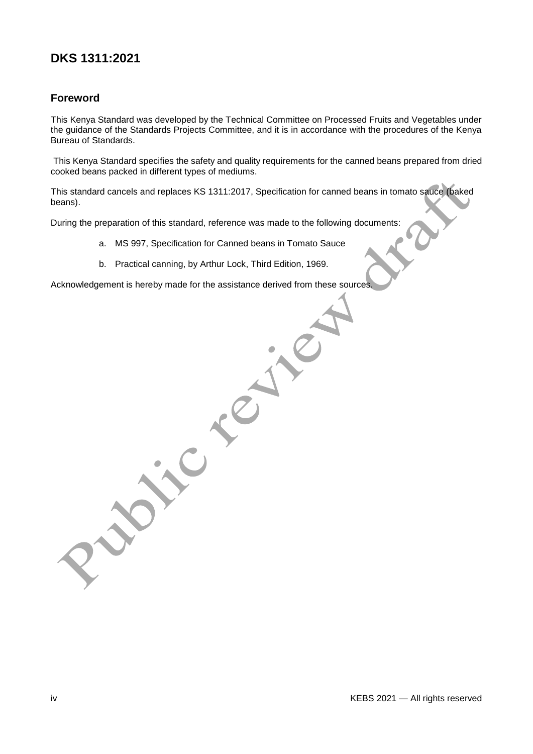# **DKS 1311:2021**

#### **Foreword**

This Kenya Standard was developed by the Technical Committee on Processed Fruits and Vegetables under the guidance of the Standards Projects Committee, and it is in accordance with the procedures of the Kenya Bureau of Standards.

This Kenya Standard specifies the safety and quality requirements for the canned beans prepared from dried cooked beans packed in different types of mediums.

This standard cancels and replaces KS 1311:2017, Specification for canned beans in tomato sauce (baked beans).

During the preparation of this standard, reference was made to the following documents:

- a. MS 997, Specification for Canned beans in Tomato Sauce
- b. Practical canning, by Arthur Lock, Third Edition, 1969.

Acknowledgement is hereby made for the assistance derived from these sources.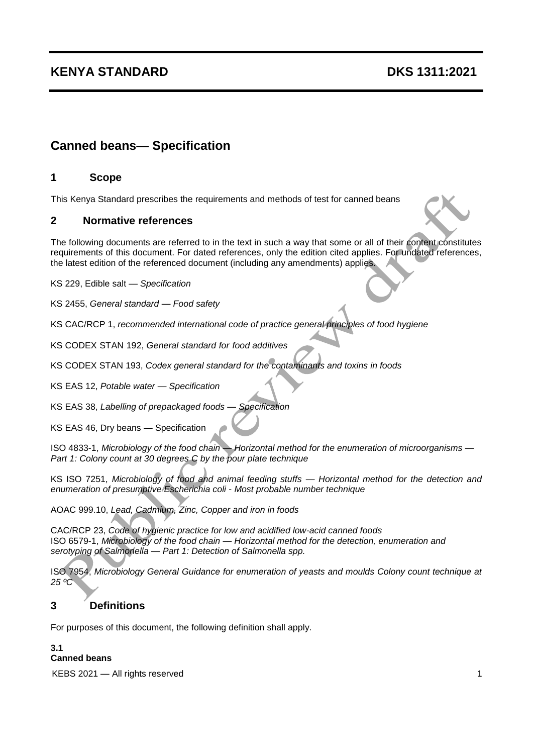### **KENYA STANDARD DKS 1311:2021**

## **Canned beans— Specification**

#### **1 Scope**

This Kenya Standard prescribes the requirements and methods of test for canned beans

#### **2 Normative references**

The following documents are referred to in the text in such a way that some or all of their content constitutes requirements of this document. For dated references, only the edition cited applies. For undated references, the latest edition of the referenced document (including any amendments) applies.

KS 229, Edible salt — *Specification* 

KS 2455, *General standard — Food safety*

KS CAC/RCP 1, *recommended [international code of practice general principles of food hygiene](http://onlinecatalogue.kebs.org/webquery.dll?v1=pbMarc&v4=0&v5=5A&v8=704934&v9=1&v10=N&v13=4A&v20=4&v22=4A@KS%20423:1986&v23=0&v25=CAC%20and%20%20RCP%20and%20%201&v27=9736&v29=5A&v35=%7B%5d0%5b%7D%7B%5d0%5b%7D%7B%5d0%5b%7D%7B%5d0%5b%7D&v40=704932&v46=704934)*

KS CODEX STAN 192, *General standard for food additives*

KS CODEX STAN 193, *Codex general standard for the contaminants and toxins in foods*

KS EAS 12, *Potable water — Specification*

KS EAS 38, *Labelling of prepackaged foods* — *Specification*

KS EAS 46, Dry beans — Specification

ISO 4833-1, *Microbiology of the food chain* — *Horizontal method for the enumeration of microorganisms* — *Part 1: Colony count at 30 degrees C by the pour plate technique*

KS ISO 7251, *Microbiology of food and animal feeding stuffs* — *Horizontal method for the detection and enumeration of presumptive Escherichia coli* - *Most probable number technique*

AOAC 999.10, *Lead, Cadmium, Zinc, Copper and iron in foods*

CAC/RCP 23, *Code of hygienic practice for low and acidified low-acid canned foods*  ISO 6579-1, *Microbiology of the food chain* — *Horizontal method for the detection, enumeration and serotyping of Salmonella* — *Part 1: Detection of Salmonella spp.*

ISO 7954, *Microbiology General Guidance for enumeration of yeasts and moulds Colony count technique at 25 ºC*

#### **3 Definitions**

For purposes of this document, the following definition shall apply.

#### **3.1 Canned beans**

KEBS 2021 — All rights reserved 1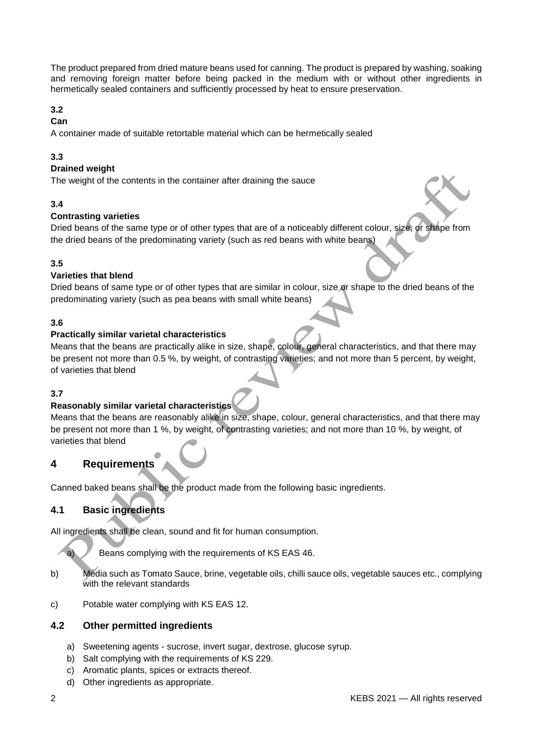The product prepared from dried mature beans used for canning. The product is prepared by washing, soaking and removing foreign matter before being packed in the medium with or without other ingredients in hermetically sealed containers and sufficiently processed by heat to ensure preservation.

#### **3.2**

#### **Can**

A container made of suitable retortable material which can be hermetically sealed

#### **3.3**

#### **Drained weight**

The weight of the contents in the container after draining the sauce

#### **3.4**

#### **Contrasting varieties**

Dried beans of the same type or of other types that are of a noticeably different colour, size, or shape from the dried beans of the predominating variety (such as red beans with white beans)

#### **3.5**

#### **Varieties that blend**

Dried beans of same type or of other types that are similar in colour, size or shape to the dried beans of the predominating variety (such as pea beans with small white beans)

#### **3.6**

#### **Practically similar varietal characteristics**

Means that the beans are practically alike in size, shape, colour, general characteristics, and that there may be present not more than 0.5 %, by weight, of contrasting varieties; and not more than 5 percent, by weight, of varieties that blend

#### **3.7**

#### **Reasonably similar varietal characteristics**

Means that the beans are reasonably alike in size, shape, colour, general characteristics, and that there may be present not more than 1 %, by weight, of contrasting varieties; and not more than 10 %, by weight, of varieties that blend

#### **4 Requirements**

Canned baked beans shall be the product made from the following basic ingredients.

#### **4.1 Basic ingredients**

All ingredients shall be clean, sound and fit for human consumption.

a) Beans complying with the requirements of KS EAS 46.

- b) Media such as Tomato Sauce, brine, vegetable oils, chilli sauce oils, vegetable sauces etc., complying with the relevant standards
- c) Potable water complying with KS EAS 12.

#### **4.2 Other permitted ingredients**

- a) Sweetening agents sucrose, invert sugar, dextrose, glucose syrup.
- b) Salt complying with the requirements of KS 229.
- c) Aromatic plants, spices or extracts thereof.
- d) Other ingredients as appropriate.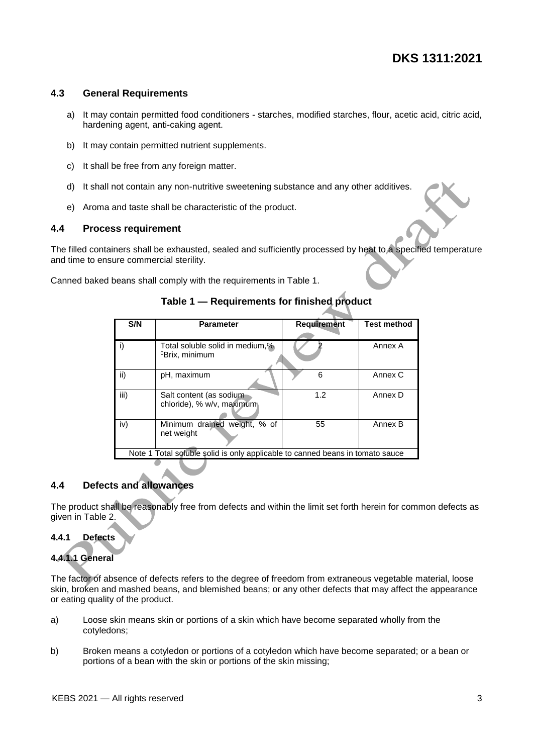#### **4.3 General Requirements**

- a) It may contain permitted food conditioners starches, modified starches, flour, acetic acid, citric acid, hardening agent, anti-caking agent.
- b) It may contain permitted nutrient supplements.
- c) It shall be free from any foreign matter.
- d) It shall not contain any non-nutritive sweetening substance and any other additives.
- e) Aroma and taste shall be characteristic of the product.

#### **4.4 Process requirement**

The filled containers shall be exhausted, sealed and sufficiently processed by heat to a specified temperature and time to ensure commercial sterility.

Canned baked beans shall comply with the requirements in Table 1.

| S/N                                                                           | <b>Parameter</b>                                              | Requirement | <b>Test method</b> |  |
|-------------------------------------------------------------------------------|---------------------------------------------------------------|-------------|--------------------|--|
| i)                                                                            | Total soluble solid in medium,%<br><sup>0</sup> Brix, minimum |             | Annex A            |  |
| ii)                                                                           | pH, maximum                                                   | 6           | Annex C            |  |
| iii)                                                                          | Salt content (as sodium<br>chloride), % w/v, maximum          | 1.2         | Annex D            |  |
| iv)                                                                           | Minimum drained weight, % of<br>net weight                    | 55          | Annex B            |  |
| Note 1 Total soluble solid is only applicable to canned beans in tomato sauce |                                                               |             |                    |  |

#### **Table 1 — Requirements for finished product**

#### **4.4 Defects and allowances**

The product shall be reasonably free from defects and within the limit set forth herein for common defects as given in Table 2.

#### **4.4.1 Defects**

#### **4.4.1.1 General**

The factor of absence of defects refers to the degree of freedom from extraneous vegetable material, loose skin, broken and mashed beans, and blemished beans; or any other defects that may affect the appearance or eating quality of the product.

- a) Loose skin means skin or portions of a skin which have become separated wholly from the cotyledons;
- b) Broken means a cotyledon or portions of a cotyledon which have become separated; or a bean or portions of a bean with the skin or portions of the skin missing;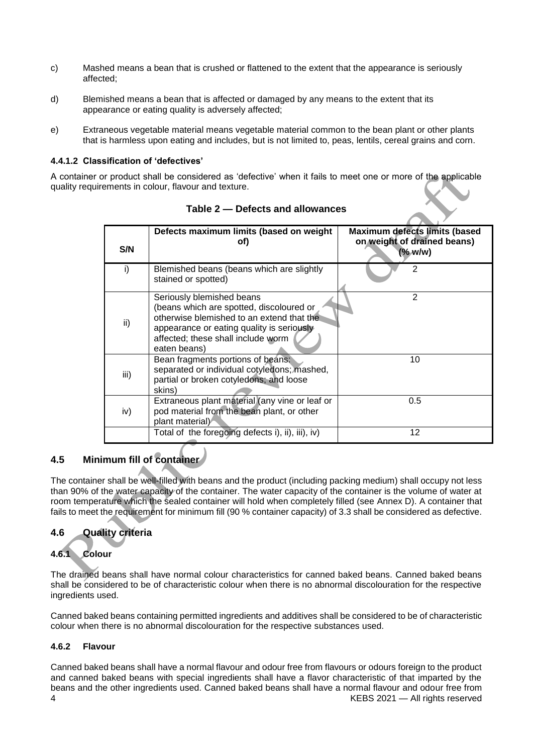- c) Mashed means a bean that is crushed or flattened to the extent that the appearance is seriously affected;
- d) Blemished means a bean that is affected or damaged by any means to the extent that its appearance or eating quality is adversely affected;
- e) Extraneous vegetable material means vegetable material common to the bean plant or other plants that is harmless upon eating and includes, but is not limited to, peas, lentils, cereal grains and corn.

#### **4.4.1.2 Classification of 'defectives'**

A container or product shall be considered as 'defective' when it fails to meet one or more of the applicable quality requirements in colour, flavour and texture.

| S/N  | Defects maximum limits (based on weight<br>of)                                                                                                                                                                        | <b>Maximum defects limits (based</b><br>on weight of drained beans)<br>$($ % w/w) |
|------|-----------------------------------------------------------------------------------------------------------------------------------------------------------------------------------------------------------------------|-----------------------------------------------------------------------------------|
| i)   | Blemished beans (beans which are slightly<br>stained or spotted)                                                                                                                                                      | 2                                                                                 |
| ii)  | Seriously blemished beans<br>(beans which are spotted, discoloured or<br>otherwise blemished to an extend that the<br>appearance or eating quality is seriously<br>affected; these shall include worm<br>eaten beans) | 2                                                                                 |
| iii) | Bean fragments portions of beans:<br>separated or individual cotyledons; mashed,<br>partial or broken cotyledons; and loose<br>skins)                                                                                 | 10                                                                                |
| iv)  | Extraneous plant material (any vine or leaf or<br>pod material from the bean plant, or other<br>plant material)                                                                                                       | 0.5                                                                               |
|      | Total of the foregoing defects i), ii), iii), iv)                                                                                                                                                                     | 12                                                                                |

#### **Table 2 — Defects and allowances**

#### **4.5 Minimum fill of container**

The container shall be well-filled with beans and the product (including packing medium) shall occupy not less than 90% of the water capacity of the container. The water capacity of the container is the volume of water at room temperature which the sealed container will hold when completely filled (see Annex D). A container that fails to meet the requirement for minimum fill (90 % container capacity) of 3.3 shall be considered as defective.

#### **4.6 Quality criteria**

#### **4.6.1 Colour**

The drained beans shall have normal colour characteristics for canned baked beans. Canned baked beans shall be considered to be of characteristic colour when there is no abnormal discolouration for the respective ingredients used.

Canned baked beans containing permitted ingredients and additives shall be considered to be of characteristic colour when there is no abnormal discolouration for the respective substances used.

#### **4.6.2 Flavour**

4 KEBS 2021 — All rights reserved Canned baked beans shall have a normal flavour and odour free from flavours or odours foreign to the product and canned baked beans with special ingredients shall have a flavor characteristic of that imparted by the beans and the other ingredients used. Canned baked beans shall have a normal flavour and odour free from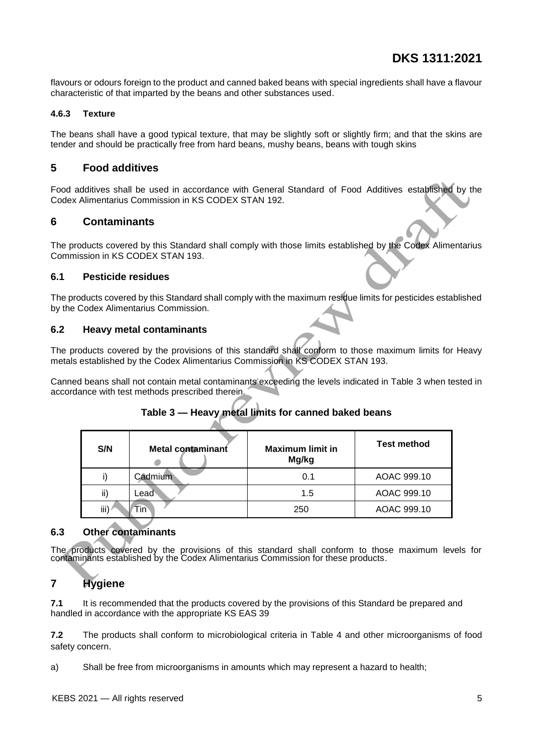flavours or odours foreign to the product and canned baked beans with special ingredients shall have a flavour characteristic of that imparted by the beans and other substances used.

#### **4.6.3 Texture**

The beans shall have a good typical texture, that may be slightly soft or slightly firm; and that the skins are tender and should be practically free from hard beans, mushy beans, beans with tough skins

#### **5 Food additives**

Food additives shall be used in accordance with General Standard of Food Additives established by the Codex Alimentarius Commission in KS CODEX STAN 192.

#### **6 Contaminants**

The products covered by this Standard shall comply with those limits established by the Codex Alimentarius Commission in KS CODEX STAN 193.

#### **6.1 Pesticide residues**

The products covered by this Standard shall comply with the maximum residue limits for pesticides established by the Codex Alimentarius Commission.

#### **6.2 Heavy metal contaminants**

The products covered by the provisions of this standard shall conform to those maximum limits for Heavy metals established by the Codex Alimentarius Commission in KS CODEX STAN 193.

Canned beans shall not contain metal contaminants exceeding the levels indicated in Table 3 when tested in accordance with test methods prescribed therein.

#### **Table 3 — Heavy metal limits for canned baked beans**

| S/N  | Metal contaminant | <b>Maximum limit in</b><br>Mg/kg | <b>Test method</b> |
|------|-------------------|----------------------------------|--------------------|
|      | Cadmium           | 0.1                              | AOAC 999.10        |
| ii)  | Lead              | 1.5                              | AOAC 999.10        |
| iii) | Tin`              | 250                              | AOAC 999.10        |

#### **6.3 Other contaminants**

The products covered by the provisions of this standard shall conform to those maximum levels for contaminants established by the Codex Alimentarius Commission for these products.

#### **7 Hygiene**

**7.1** It is recommended that the products covered by the provisions of this Standard be prepared and handled in accordance with the appropriate KS EAS 39

**7.2** The products shall conform to microbiological criteria in Table 4 and other microorganisms of food safety concern.

a) Shall be free from microorganisms in amounts which may represent a hazard to health;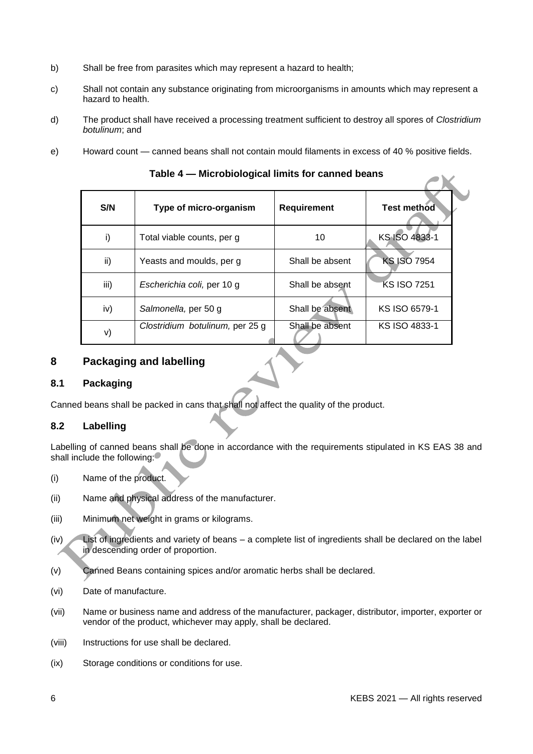- b) Shall be free from parasites which may represent a hazard to health;
- c) Shall not contain any substance originating from microorganisms in amounts which may represent a hazard to health.
- d) The product shall have received a processing treatment sufficient to destroy all spores of *Clostridium botulinum*; and
- e)Howard count *—* canned beans shall not contain mould filaments in excess of 40 % positive fields.

| Table 4 — MICrobiological limits for canned beans |                                 |                 |                    |  |
|---------------------------------------------------|---------------------------------|-----------------|--------------------|--|
| S/N                                               | Type of micro-organism          | Requirement     | <b>Test method</b> |  |
| i)                                                | Total viable counts, per g      | 10              | KS ISO 4833-1      |  |
| ii)                                               | Yeasts and moulds, per g        | Shall be absent | <b>KS ISO 7954</b> |  |
| iii)                                              | Escherichia coli, per 10 g      | Shall be absent | <b>KS ISO 7251</b> |  |
| iv)                                               | Salmonella, per 50 g            | Shall be absent | KS ISO 6579-1      |  |
| V)                                                | Clostridium botulinum, per 25 g | Shall be absent | KS ISO 4833-1      |  |

**Table 4 — Microbiological limits for canned beans** 

#### **8 Packaging and labelling**

#### **8.1 Packaging**

Canned beans shall be packed in cans that shall not affect the quality of the product.

#### **8.2 Labelling**

Labelling of canned beans shall be done in accordance with the requirements stipulated in KS EAS 38 and shall include the following:

- (i) Name of the product.
- (ii) Name and physical address of the manufacturer.
- (iii) Minimum net weight in grams or kilograms.
- (iv) List of ingredients and variety of beans a complete list of ingredients shall be declared on the label in descending order of proportion.
- (v) Canned Beans containing spices and/or aromatic herbs shall be declared.
- (vi) Date of manufacture.
- (vii) Name or business name and address of the manufacturer, packager, distributor, importer, exporter or vendor of the product, whichever may apply, shall be declared.
- (viii) Instructions for use shall be declared.
- (ix) Storage conditions or conditions for use.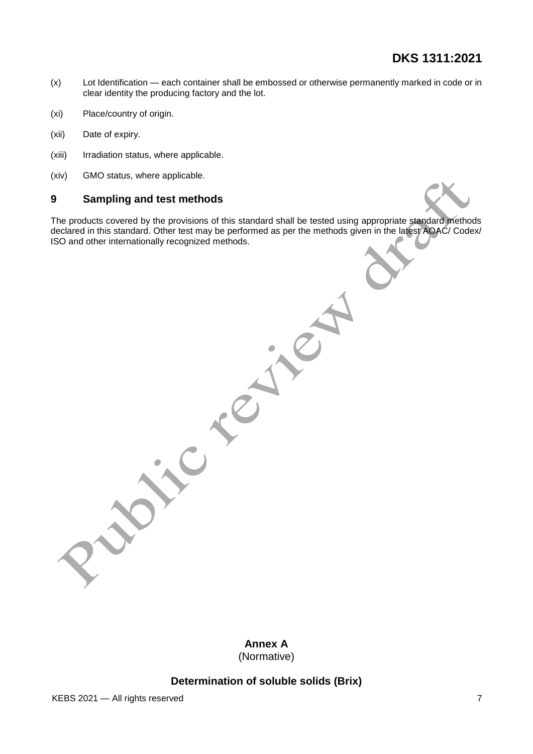# **DKS 1311:2021**

- (x) Lot Identification each container shall be embossed or otherwise permanently marked in code or in clear identity the producing factory and the lot.
- (xi) Place/country of origin.
- (xii) Date of expiry.
- (xiii) Irradiation status, where applicable.
- (xiv) GMO status, where applicable.

#### **9 Sampling and test methods**

The products covered by the provisions of this standard shall be tested using appropriate standard methods declared in this standard. Other test may be performed as per the methods given in the latest AOAC/ Codex/ ISO and other internationally recognized methods.

> **Annex A** (Normative)

#### **Determination of soluble solids (Brix)**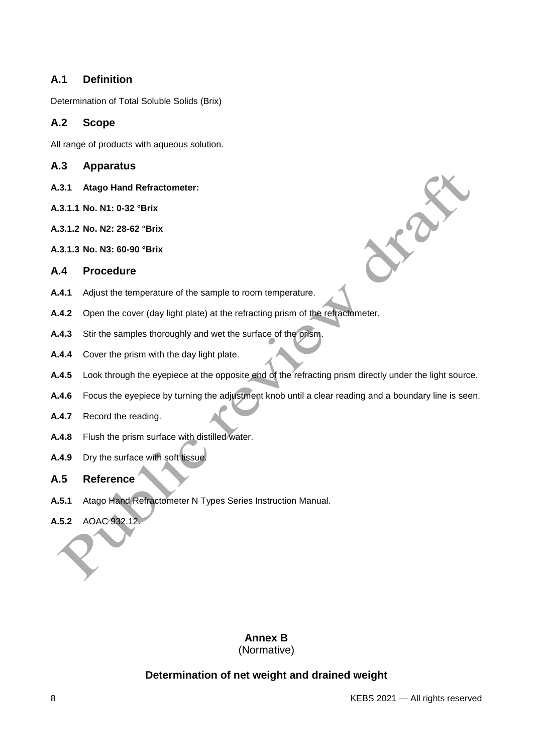#### **A.1 Definition**

Determination of Total Soluble Solids (Brix)

#### **A.2 Scope**

All range of products with aqueous solution.

#### **A.3 Apparatus**

- **A.3.1 Atago Hand Refractometer:**
- **A.3.1.1 No. N1: 0-32 °Brix**
- **A.3.1.2 No. N2: 28-62 °Brix**
- **A.3.1.3 No. N3: 60-90 °Brix**

#### **A.4 Procedure**

- **A.4.1** Adjust the temperature of the sample to room temperature.
- **A.4.2** Open the cover (day light plate) at the refracting prism of the refractometer.
- **A.4.3** Stir the samples thoroughly and wet the surface of the prism.
- **A.4.4** Cover the prism with the day light plate.
- **A.4.5** Look through the eyepiece at the opposite end of the refracting prism directly under the light source.
- **A.4.6** Focus the eyepiece by turning the adjustment knob until a clear reading and a boundary line is seen.
- **A.4.7** Record the reading.
- **A.4.8** Flush the prism surface with distilled water.
- **A.4.9** Dry the surface with soft tissue.

#### **A.5 Reference**

- **A.5.1** Atago Hand Refractometer N Types Series Instruction Manual.
- **A.5.2** AOAC 932.12.

#### **Annex B**

(Normative)

#### **Determination of net weight and drained weight**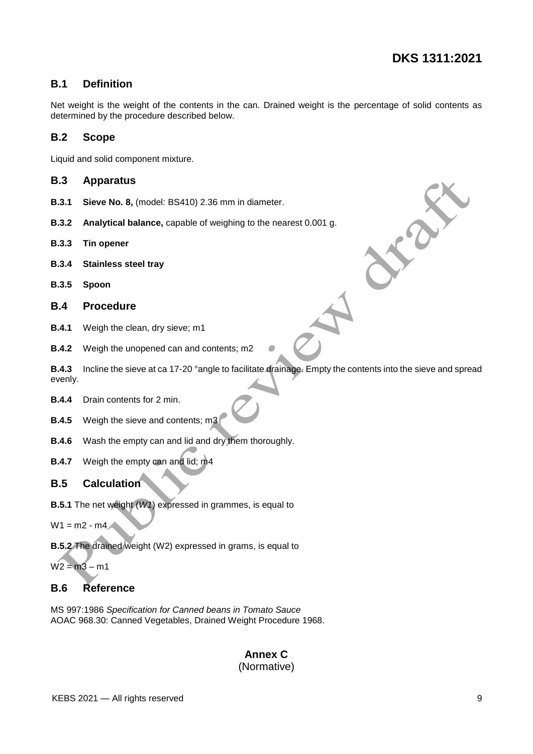#### **B.1 Definition**

Net weight is the weight of the contents in the can. Drained weight is the percentage of solid contents as determined by the procedure described below.

#### **B.2 Scope**

Liquid and solid component mixture.

#### **B.3 Apparatus**

- **B.3.1 Sieve No. 8,** (model: BS410) 2.36 mm in diameter.
- **B.3.2 Analytical balance,** capable of weighing to the nearest 0.001 g.
- **B.3.3 Tin opener**
- **B.3.4 Stainless steel tray**
- **B.3.5 Spoon**
- **B.4 Procedure**
- **B.4.1** Weigh the clean, dry sieve; m1
- **B.4.2** Weigh the unopened can and contents; m2

**B.4.3** Incline the sieve at ca 17-20 °angle to facilitate drainage. Empty the contents into the sieve and spread evenly.

- **B.4.4** Drain contents for 2 min.
- **B.4.5** Weigh the sieve and contents; m3
- **B.4.6** Wash the empty can and lid and dry them thoroughly.
- **B.4.7** Weigh the empty can and lid; m4

#### **B.5 Calculation**

**B.5.1** The net weight (*W1*) expressed in grammes, is equal to

 $W1 = m2 - m4$ 

**B.5.2** The drained weight (W2) expressed in grams, is equal to

 $W2 = m3 - m1$ 

#### **B.6 Reference**

MS 997:1986 *Specification for Canned beans in Tomato Sauce* AOAC 968.30: Canned Vegetables, Drained Weight Procedure 1968.

# **Annex C**

#### (Normative)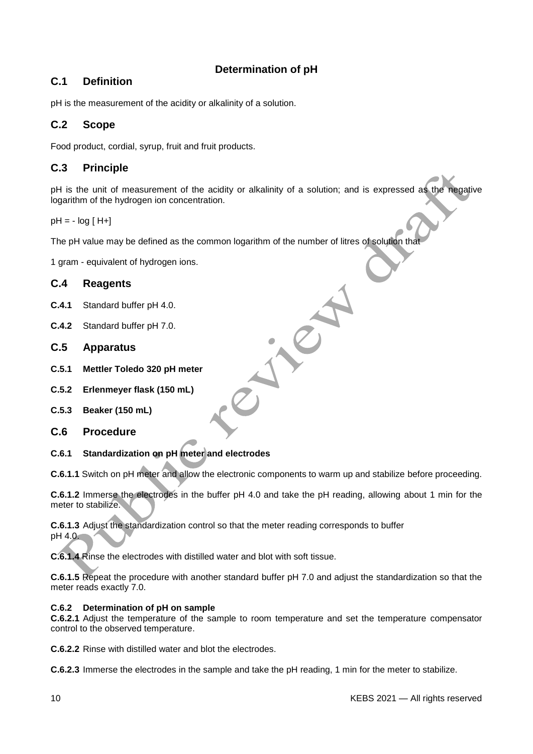#### **Determination of pH**

#### **C.1 Definition**

pH is the measurement of the acidity or alkalinity of a solution.

#### **C.2 Scope**

Food product, cordial, syrup, fruit and fruit products.

#### **C.3 Principle**

pH is the unit of measurement of the acidity or alkalinity of a solution; and is expressed as the negative logarithm of the hydrogen ion concentration.

 $pH = -log [H+]$ 

The pH value may be defined as the common logarithm of the number of litres of solution that

1 gram - equivalent of hydrogen ions.

#### **C.4 Reagents**

- **C.4.1** Standard buffer pH 4.0.
- **C.4.2** Standard buffer pH 7.0.
- **C.5 Apparatus**
- **C.5.1 Mettler Toledo 320 pH meter**
- **C.5.2 Erlenmeyer flask (150 mL)**
- **C.5.3 Beaker (150 mL)**
- **C.6 Procedure**
- **C.6.1 Standardization on pH meter and electrodes**

**C.6.1.1** Switch on pH meter and allow the electronic components to warm up and stabilize before proceeding.

**C.6.1.2** Immerse the electrodes in the buffer pH 4.0 and take the pH reading, allowing about 1 min for the meter to stabilize.

**C.6.1.3** Adjust the standardization control so that the meter reading corresponds to buffer pH 4.0.

**C.6.1.4** Rinse the electrodes with distilled water and blot with soft tissue.

**C.6.1.5** Repeat the procedure with another standard buffer pH 7.0 and adjust the standardization so that the meter reads exactly 7.0.

#### **C.6.2 Determination of pH on sample**

**C.6.2.1** Adjust the temperature of the sample to room temperature and set the temperature compensator control to the observed temperature.

**C.6.2.2** Rinse with distilled water and blot the electrodes.

**C.6.2.3** Immerse the electrodes in the sample and take the pH reading, 1 min for the meter to stabilize.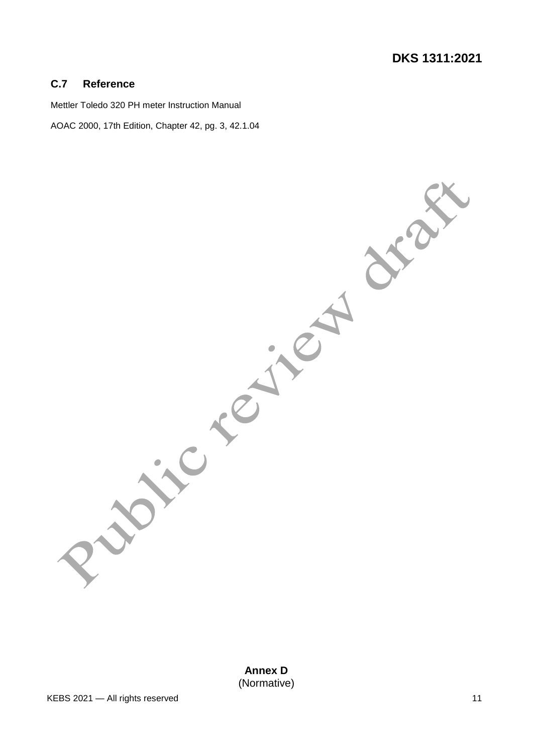#### **C.7 Reference**

Mettler Toledo 320 PH meter Instruction Manual

AOAC 2000, 17th Edition, Chapter 42, pg. 3, 42.1.04

**Annex D** (Normative)

TON